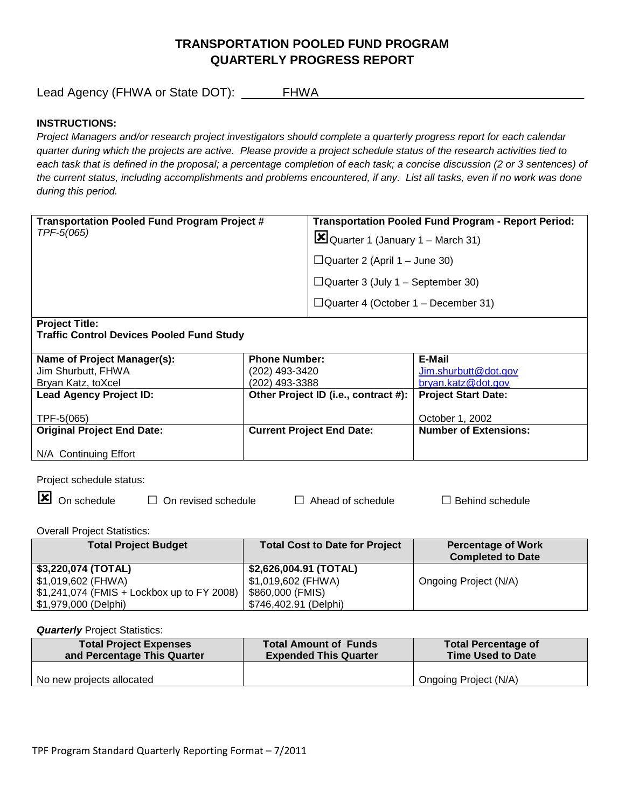# **TRANSPORTATION POOLED FUND PROGRAM QUARTERLY PROGRESS REPORT**

Lead Agency (FHWA or State DOT): \_\_\_\_\_\_FHWA\_\_\_\_\_\_\_\_\_\_\_\_\_\_\_\_\_\_\_\_\_\_\_\_\_\_\_\_\_\_\_\_\_\_\_\_\_\_\_

## **INSTRUCTIONS:**

*Project Managers and/or research project investigators should complete a quarterly progress report for each calendar quarter during which the projects are active. Please provide a project schedule status of the research activities tied to*  each task that is defined in the proposal; a percentage completion of each task; a concise discussion (2 or 3 sentences) of *the current status, including accomplishments and problems encountered, if any. List all tasks, even if no work was done during this period.*

| <b>Transportation Pooled Fund Program Project #</b><br>TPF-5(065)         | <b>Transportation Pooled Fund Program - Report Period:</b><br>$\Xi$ Quarter 1 (January 1 – March 31) |  |
|---------------------------------------------------------------------------|------------------------------------------------------------------------------------------------------|--|
|                                                                           | $\Box$ Quarter 2 (April 1 – June 30)                                                                 |  |
|                                                                           | $\Box$ Quarter 3 (July 1 – September 30)                                                             |  |
|                                                                           | $\Box$ Quarter 4 (October 1 – December 31)                                                           |  |
| <b>Project Title:</b><br><b>Traffic Control Devices Pooled Fund Study</b> |                                                                                                      |  |

| Name of Project Manager(s):       | <b>Phone Number:</b>                                       | E-Mail                       |
|-----------------------------------|------------------------------------------------------------|------------------------------|
| Jim Shurbutt, FHWA                | (202) 493-3420                                             | Jim.shurbutt@dot.gov         |
| Bryan Katz, toXcel                | (202) 493-3388                                             | bryan.katz@dot.gov           |
| <b>Lead Agency Project ID:</b>    | Other Project ID (i.e., contract #):   Project Start Date: |                              |
|                                   |                                                            |                              |
| TPF-5(065)                        |                                                            | October 1, 2002              |
| <b>Original Project End Date:</b> | <b>Current Project End Date:</b>                           | <b>Number of Extensions:</b> |
|                                   |                                                            |                              |
| N/A Continuing Effort             |                                                            |                              |

Project schedule status:

On schedule □ On revised schedule □ Ahead of schedule □ Behind schedule

Overall Project Statistics:

| <b>Total Project Budget</b>                 | <b>Total Cost to Date for Project</b> | <b>Percentage of Work</b> |
|---------------------------------------------|---------------------------------------|---------------------------|
|                                             |                                       | <b>Completed to Date</b>  |
| \$3,220,074 (TOTAL)                         | \$2,626,004.91 (TOTAL)                |                           |
| \$1,019,602 (FHWA)                          | \$1,019,602 (FHWA)                    | Ongoing Project (N/A)     |
| $$1,241,074$ (FMIS + Lockbox up to FY 2008) | \$860,000 (FMIS)                      |                           |
| \$1,979,000 (Delphi)                        | \$746,402.91 (Delphi)                 |                           |

#### **Quarterly** Project Statistics:

| <b>Total Project Expenses</b> | <b>Total Amount of Funds</b> | <b>Total Percentage of</b> |
|-------------------------------|------------------------------|----------------------------|
| and Percentage This Quarter   | <b>Expended This Quarter</b> | <b>Time Used to Date</b>   |
| No new projects allocated     |                              | Ongoing Project (N/A)      |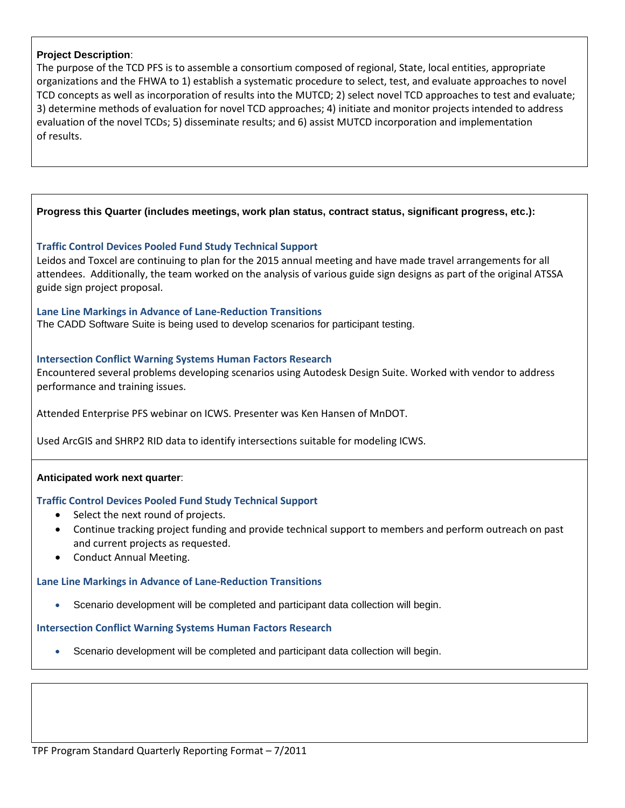#### **Project Description**:

The purpose of the TCD PFS is to assemble a consortium composed of regional, State, local entities, appropriate organizations and the FHWA to 1) establish a systematic procedure to select, test, and evaluate approaches to novel TCD concepts as well as incorporation of results into the MUTCD; 2) select novel TCD approaches to test and evaluate; 3) determine methods of evaluation for novel TCD approaches; 4) initiate and monitor projects intended to address evaluation of the novel TCDs; 5) disseminate results; and 6) assist MUTCD incorporation and implementation of results.

#### **Progress this Quarter (includes meetings, work plan status, contract status, significant progress, etc.):**

## **Traffic Control Devices Pooled Fund Study Technical Support**

Leidos and Toxcel are continuing to plan for the 2015 annual meeting and have made travel arrangements for all attendees. Additionally, the team worked on the analysis of various guide sign designs as part of the original ATSSA guide sign project proposal.

#### **Lane Line Markings in Advance of Lane-Reduction Transitions**

The CADD Software Suite is being used to develop scenarios for participant testing.

#### **Intersection Conflict Warning Systems Human Factors Research**

Encountered several problems developing scenarios using Autodesk Design Suite. Worked with vendor to address performance and training issues.

Attended Enterprise PFS webinar on ICWS. Presenter was Ken Hansen of MnDOT.

Used ArcGIS and SHRP2 RID data to identify intersections suitable for modeling ICWS.

#### **Anticipated work next quarter**:

#### **Traffic Control Devices Pooled Fund Study Technical Support**

- Select the next round of projects.
- Continue tracking project funding and provide technical support to members and perform outreach on past and current projects as requested.
- Conduct Annual Meeting.

# **Lane Line Markings in Advance of Lane-Reduction Transitions**

• Scenario development will be completed and participant data collection will begin.

# **Intersection Conflict Warning Systems Human Factors Research**

• Scenario development will be completed and participant data collection will begin.